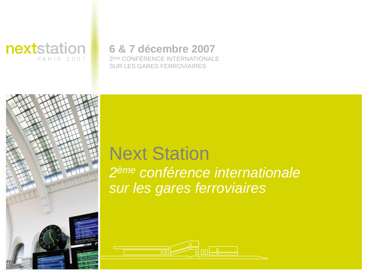

### **6 & 7 décembre 2007**

2ÈME CONFÉRENCE INTERNATIONALE SUR LES GARES FERROVIAIRES



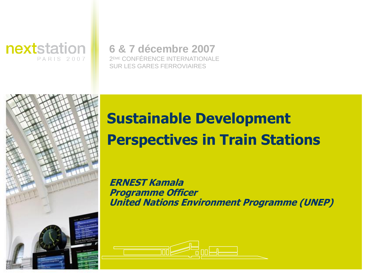

### **6 & 7 décembre 2007**

2ÈME CONFÉRENCE INTERNATIONALE SUR LES GARES FERROVIAIRES



# **Sustainable Development Perspectives in Train Stations**

**ERNEST Kamala Programme Officer United Nations Environment Programme (UNEP)** 

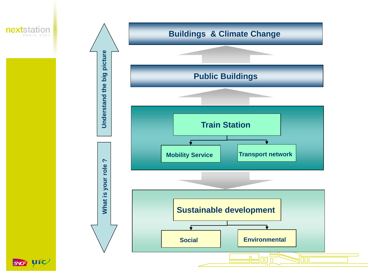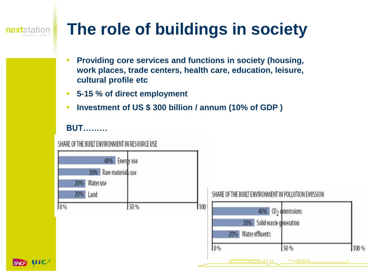# **next**station

# **The role of buildings in society**

- **Providing core services and functions in society (housing, work places, trade centers, health care, education, leisure, cultural profile etc**
- **5-15 % of direct employment**
- **Investment of US \$ 300 billion / annum (10% of GDP )**

#### **BUT………**

SHARE OF THE BUILT ENVIRONMENT IN RESOURCE USE



100 %

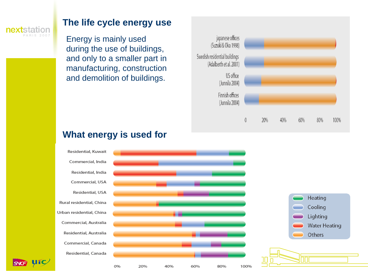

SNG UIC

#### **The life cycle energy use**

Energy is mainly used during the use of buildings, and only to a smaller part in manufacturing, construction and demolition of buildings.



#### Residential, Kuwait Commercial, India Residential, India Commercial, USA Residential, USA Heating Rural residential, China Cooling Urban residential, China Lighting Commercial, Australia **Water Heating** Residential, Australia Others Commercial, Canada Residential, Canada 0% 20% 40% 60% 80% 100%

#### **What energy is used for**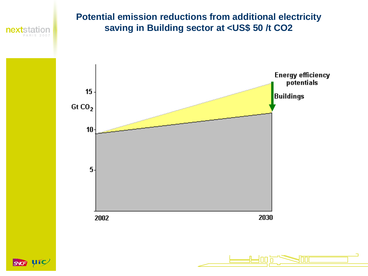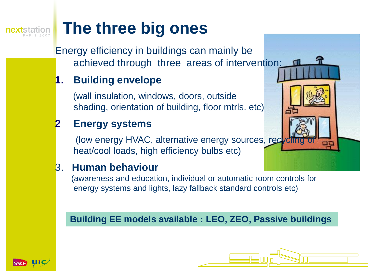# **The three big ones**

Energy efficiency in buildings can mainly be achieved through three areas of intervention:

#### **1. Building envelope**

(wall insulation, windows, doors, outside shading, orientation of building, floor mtrls. etc)

### **2 Energy systems**

(low energy HVAC, alternative energy sources, recycling heat/cool loads, high efficiency bulbs etc)

### 3. **Human behaviour**

(awareness and education, individual or automatic room controls for energy systems and lights, lazy fallback standard controls etc)

#### **Building EE models available : LEO, ZEO, Passive buildings**

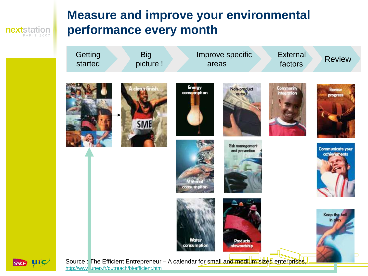nextstation PARIS 2007

# **Measure and improve your environmental performance every month**





Source : The Efficient Entrepreneur – A calendar for small and medium sized enterprises, <http://www.unep.fr/outreach/bi/efficient.htm>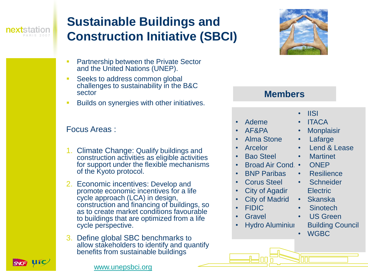

# **Sustainable Buildings and Construction Initiative (SBCI)**

- **Partnership between the Private Sector** and the United Nations (UNEP).
- Seeks to address common global challenges to sustainability in the B&C sector
- **EXECUTE:** Builds on synergies with other initiatives.

#### Focus Areas :

- 1. Climate Change: Qualify buildings and construction activities as eligible activities for support under the flexible mechanisms of the Kyoto protocol.
- 2. Economic incentives: Develop and promote economic incentives for a life cycle approach (LCA) in design, construction and financing of buildings, so as to create market conditions favourable to buildings that are optimized from a life cycle perspective.
- Define global SBC benchmarks to allow stakeholders to identify and quantify benefits from sustainable buildings



#### **Members**

- Ademe
- AF&PA
- Alma Stone
- Arcelor
- Bao Steel
- Broad Air Cond.
- BNP Paribas
- Corus Steel
- **City of Agadir**
- **City of Madrid**
- FIDIC
- **Gravel**
- **Hydro Aluminium**
- IISI
- ITACA
- **Monplaisir**
- **Lafarge**
- Lend & Lease
- **Martinet**
- ONEP
- Resilience
- Schneider **Electric**
- Skanska
- **Sinotech**
- US Green
	- Building Council
- WGBC

SNG UIC